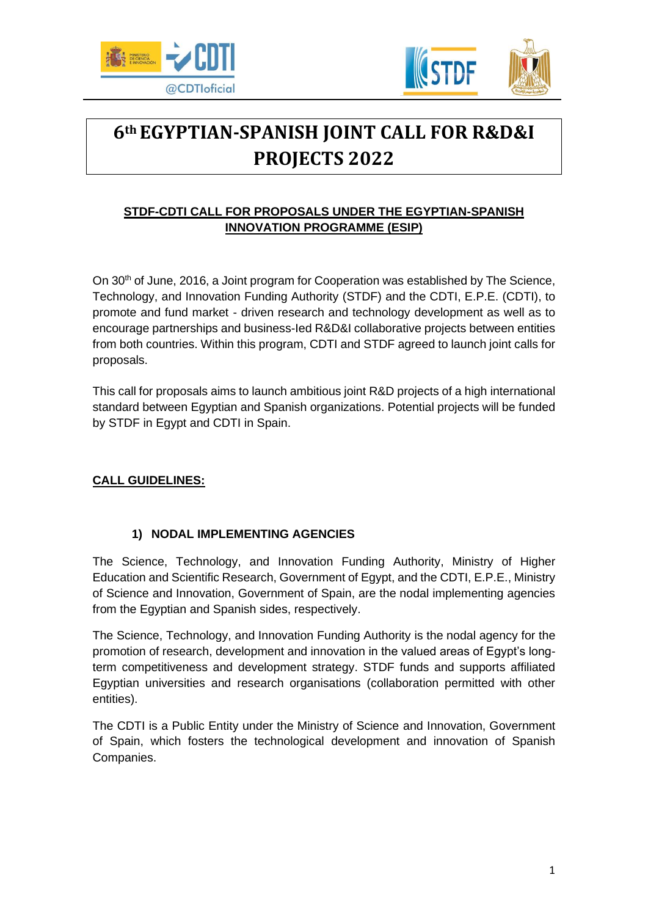



# **6th EGYPTIAN-SPANISH JOINT CALL FOR R&D&I PROJECTS 2022**

# **STDF-CDTI CALL FOR PROPOSALS UNDER THE EGYPTIAN-SPANISH INNOVATION PROGRAMME (ESIP)**

On 30<sup>th</sup> of June, 2016, a Joint program for Cooperation was established by The Science, Technology, and Innovation Funding Authority (STDF) and the CDTI, E.P.E. (CDTI), to promote and fund market - driven research and technology development as well as to encourage partnerships and business-Ied R&D&I collaborative projects between entities from both countries. Within this program, CDTI and STDF agreed to launch joint calls for proposals.

This call for proposals aims to launch ambitious joint R&D projects of a high international standard between Egyptian and Spanish organizations. Potential projects will be funded by STDF in Egypt and CDTI in Spain.

# **CALL GUIDELINES:**

## **1) NODAL IMPLEMENTING AGENCIES**

The Science, Technology, and Innovation Funding Authority, Ministry of Higher Education and Scientific Research, Government of Egypt, and the CDTI, E.P.E., Ministry of Science and Innovation, Government of Spain, are the nodal implementing agencies from the Egyptian and Spanish sides, respectively.

The Science, Technology, and Innovation Funding Authority is the nodal agency for the promotion of research, development and innovation in the valued areas of Egypt's longterm competitiveness and development strategy. STDF funds and supports affiliated Egyptian universities and research organisations (collaboration permitted with other entities).

The CDTI is a Public Entity under the Ministry of Science and Innovation, Government of Spain, which fosters the technological development and innovation of Spanish Companies.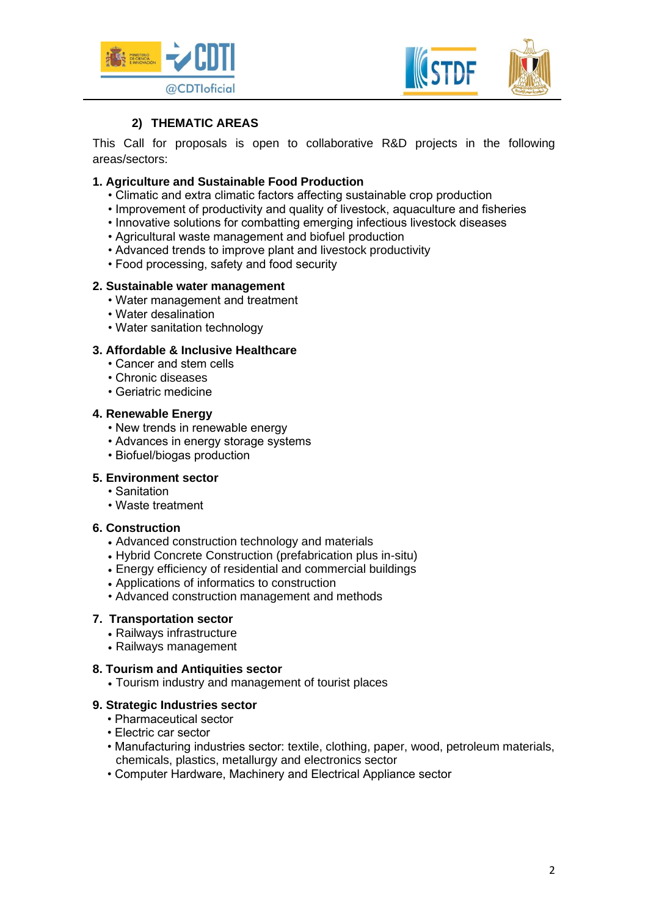



## **2) THEMATIC AREAS**

This Call for proposals is open to collaborative R&D projects in the following areas/sectors:

### **1. Agriculture and Sustainable Food Production**

- Climatic and extra climatic factors affecting sustainable crop production
- Improvement of productivity and quality of livestock, aquaculture and fisheries
- Innovative solutions for combatting emerging infectious livestock diseases
- Agricultural waste management and biofuel production
- Advanced trends to improve plant and livestock productivity
- Food processing, safety and food security

#### **2. Sustainable water management**

- Water management and treatment
- Water desalination
- Water sanitation technology

## **3. Affordable & Inclusive Healthcare**

- Cancer and stem cells
- Chronic diseases
- Geriatric medicine

#### **4. Renewable Energy**

- New trends in renewable energy
- Advances in energy storage systems
- Biofuel/biogas production

#### **5. Environment sector**

- Sanitation
- Waste treatment

### **6. Construction**

- Advanced construction technology and materials
- Hybrid Concrete Construction (prefabrication plus in-situ)
- Energy efficiency of residential and commercial buildings
- Applications of informatics to construction
- Advanced construction management and methods

#### **7. Transportation sector**

- Railways infrastructure
- Railways management

#### **8. Tourism and Antiquities sector**

• Tourism industry and management of tourist places

### **9. Strategic Industries sector**

- Pharmaceutical sector
- Electric car sector
- Manufacturing industries sector: textile, clothing, paper, wood, petroleum materials, chemicals, plastics, metallurgy and electronics sector
- Computer Hardware, Machinery and Electrical Appliance sector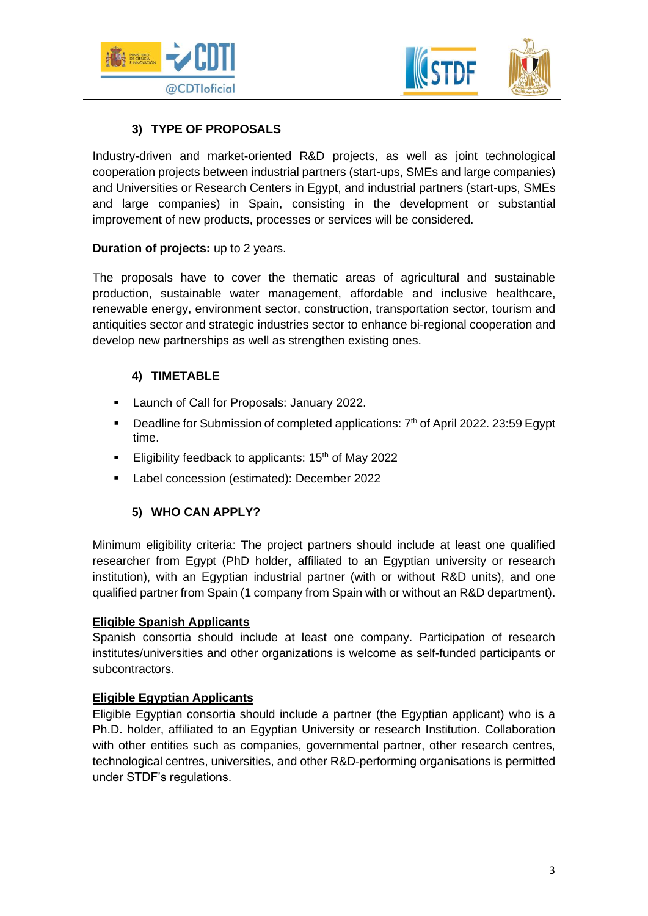



## **3) TYPE OF PROPOSALS**

Industry-driven and market-oriented R&D projects, as well as joint technological cooperation projects between industrial partners (start-ups, SMEs and large companies) and Universities or Research Centers in Egypt, and industrial partners (start-ups, SMEs and large companies) in Spain, consisting in the development or substantial improvement of new products, processes or services will be considered.

## **Duration of projects:** up to 2 years.

The proposals have to cover the thematic areas of agricultural and sustainable production, sustainable water management, affordable and inclusive healthcare, renewable energy, environment sector, construction, transportation sector, tourism and antiquities sector and strategic industries sector to enhance bi-regional cooperation and develop new partnerships as well as strengthen existing ones.

## **4) TIMETABLE**

- Launch of Call for Proposals: January 2022.
- **Deadline for Submission of completed applications:**  $7<sup>th</sup>$  of April 2022. 23:59 Egypt time.
- Eligibility feedback to applicants: 15<sup>th</sup> of May 2022
- Label concession (estimated): December 2022

## **5) WHO CAN APPLY?**

Minimum eligibility criteria: The project partners should include at least one qualified researcher from Egypt (PhD holder, affiliated to an Egyptian university or research institution), with an Egyptian industrial partner (with or without R&D units), and one qualified partner from Spain (1 company from Spain with or without an R&D department).

### **Eligible Spanish Applicants**

Spanish consortia should include at least one company. Participation of research institutes/universities and other organizations is welcome as self-funded participants or subcontractors.

### **Eligible Egyptian Applicants**

Eligible Egyptian consortia should include a partner (the Egyptian applicant) who is a Ph.D. holder, affiliated to an Egyptian University or research Institution. Collaboration with other entities such as companies, governmental partner, other research centres, technological centres, universities, and other R&D-performing organisations is permitted under STDF's regulations.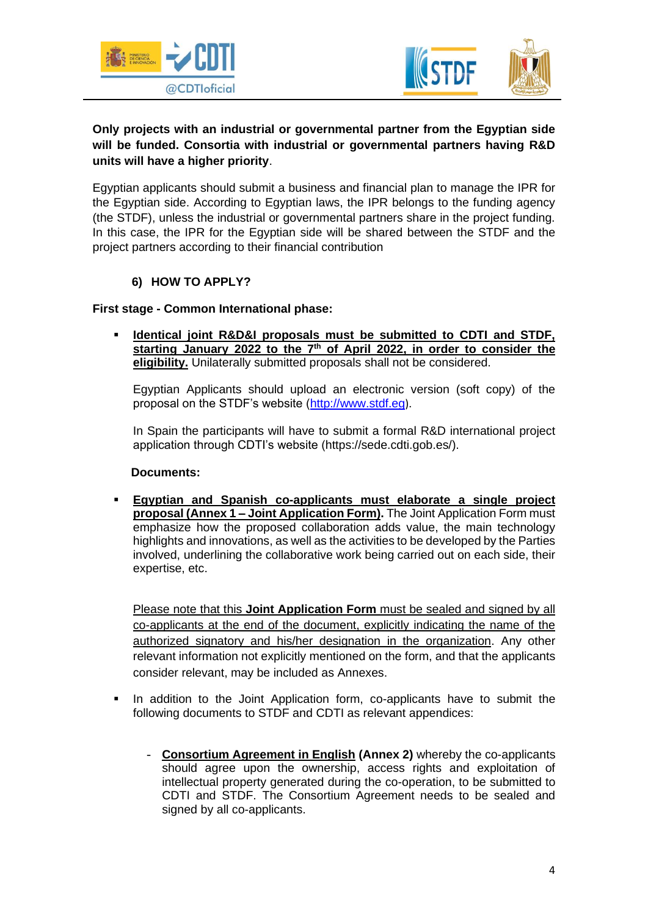



## **Only projects with an industrial or governmental partner from the Egyptian side will be funded. Consortia with industrial or governmental partners having R&D units will have a higher priority**.

Egyptian applicants should submit a business and financial plan to manage the IPR for the Egyptian side. According to Egyptian laws, the IPR belongs to the funding agency (the STDF), unless the industrial or governmental partners share in the project funding. In this case, the IPR for the Egyptian side will be shared between the STDF and the project partners according to their financial contribution

## **6) HOW TO APPLY?**

### **First stage - Common International phase:**

**Identical joint R&D&I proposals must be submitted to CDTI and STDF,** starting January 2022 to the 7<sup>th</sup> of April 2022, in order to consider the **eligibility.** Unilaterally submitted proposals shall not be considered.

Egyptian Applicants should upload an electronic version (soft copy) of the proposal on the STDF's website [\(http://www.stdf.eg](http://www.stdf.eg/)).

In Spain the participants will have to submit a formal R&D international project application through CDTI's website [\(https://sede.cdti.gob.es/\)](https://sede.cdti.gob.es/).

### **Documents:**

▪ **Egyptian and Spanish co-applicants must elaborate a single project proposal (Annex 1 – Joint Application Form).** The Joint Application Form must emphasize how the proposed collaboration adds value, the main technology highlights and innovations, as well as the activities to be developed by the Parties involved, underlining the collaborative work being carried out on each side, their expertise, etc.

Please note that this **Joint Application Form** must be sealed and signed by all co-applicants at the end of the document, explicitly indicating the name of the authorized signatory and his/her designation in the organization. Any other relevant information not explicitly mentioned on the form, and that the applicants consider relevant, may be included as Annexes.

- In addition to the Joint Application form, co-applicants have to submit the following documents to STDF and CDTI as relevant appendices:
	- **Consortium Agreement in English (Annex 2)** whereby the co-applicants should agree upon the ownership, access rights and exploitation of intellectual property generated during the co-operation, to be submitted to CDTI and STDF. The Consortium Agreement needs to be sealed and signed by all co-applicants.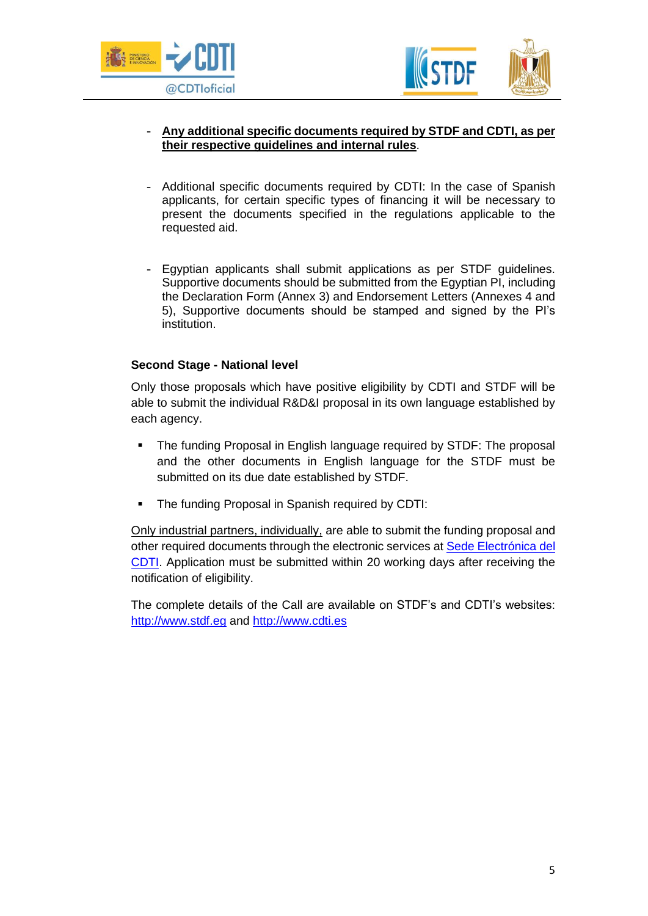



## - **Any additional specific documents required by STDF and CDTI, as per their respective guidelines and internal rules**.

- Additional specific documents required by CDTI: In the case of Spanish applicants, for certain specific types of financing it will be necessary to present the documents specified in the regulations applicable to the requested aid.
- Egyptian applicants shall submit applications as per STDF guidelines. Supportive documents should be submitted from the Egyptian PI, including the Declaration Form (Annex 3) and Endorsement Letters (Annexes 4 and 5), Supportive documents should be stamped and signed by the PI's institution.

### **Second Stage - National level**

Only those proposals which have positive eligibility by CDTI and STDF will be able to submit the individual R&D&I proposal in its own language established by each agency.

- **The funding Proposal in English language required by STDF: The proposal** and the other documents in English language for the STDF must be submitted on its due date established by STDF.
- The funding Proposal in Spanish required by CDTI:

Only industrial partners, individually, are able to submit the funding proposal and other required documents through the electronic services at [Sede Electrónica del](https://sede.cdti.gob.es/AreaPrivada/Expedientes/accesosistema.aspx)  [CDTI.](https://sede.cdti.gob.es/AreaPrivada/Expedientes/accesosistema.aspx) Application must be submitted within 20 working days after receiving the notification of eligibility.

The complete details of the Call are available on STDF's and CDTI's websites: [http://www.stdf.eg](http://www.stdf.eg/) and [http://www.cdti.es](http://www.cdti.es/)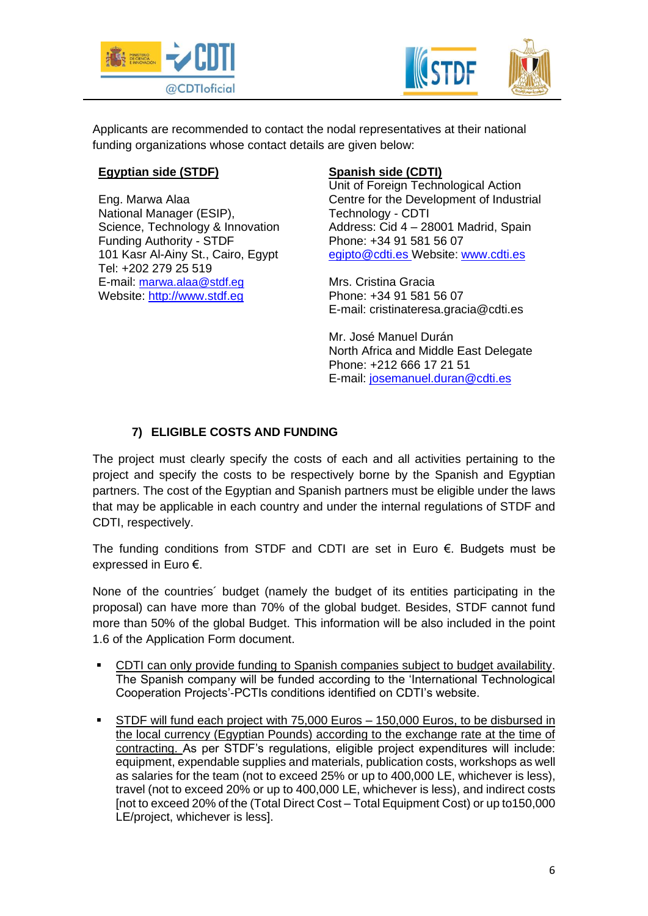



Applicants are recommended to contact the nodal representatives at their national funding organizations whose contact details are given below:

## **Egyptian side (STDF)**

Eng. Marwa Alaa National Manager (ESIP), Science, Technology & Innovation Funding Authority - STDF 101 Kasr Al-Ainy St., Cairo, Egypt Tel: +202 279 25 519 E-mail: [marwa.alaa@stdf.eg](mailto:marwa.alaa@stdf.eg) Website: [http://www.stdf.eg](http://www.stdf.eg/)

# **Spanish side (CDTI)**

Unit of Foreign Technological Action Centre for the Development of Industrial Technology - CDTI Address: Cid 4 – 28001 Madrid, Spain Phone: +34 91 581 56 07 [egipto@cdti.es](mailto:egipto@cdti.es) Website: [www.cdti.es](http://www.cdti.es/)

Mrs. Cristina Gracia Phone: +34 91 581 56 07 E-mail: cristinateresa.gracia@cdti.es

Mr. José Manuel Durán North Africa and Middle East Delegate Phone: +212 666 17 21 51 E-mail: [josemanuel.duran@cdti.es](mailto:josemanuel.duran@cdti.es)

# **7) ELIGIBLE COSTS AND FUNDING**

The project must clearly specify the costs of each and all activities pertaining to the project and specify the costs to be respectively borne by the Spanish and Egyptian partners. The cost of the Egyptian and Spanish partners must be eligible under the laws that may be applicable in each country and under the internal regulations of STDF and CDTI, respectively.

The funding conditions from STDF and CDTI are set in Euro €. Budgets must be expressed in Euro €.

None of the countries´ budget (namely the budget of its entities participating in the proposal) can have more than 70% of the global budget. Besides, STDF cannot fund more than 50% of the global Budget. This information will be also included in the point 1.6 of the Application Form document.

- CDTI can only provide funding to Spanish companies subject to budget availability. The Spanish company will be funded according to the 'International Technological Cooperation Projects'-PCTIs conditions identified on CDTI's website.
- STDF will fund each project with 75,000 Euros 150,000 Euros, to be disbursed in the local currency (Egyptian Pounds) according to the exchange rate at the time of contracting. As per STDF's regulations, eligible project expenditures will include: equipment, expendable supplies and materials, publication costs, workshops as well as salaries for the team (not to exceed 25% or up to 400,000 LE, whichever is less), travel (not to exceed 20% or up to 400,000 LE, whichever is less), and indirect costs [not to exceed 20% of the (Total Direct Cost – Total Equipment Cost) or up to150,000 LE/project, whichever is less].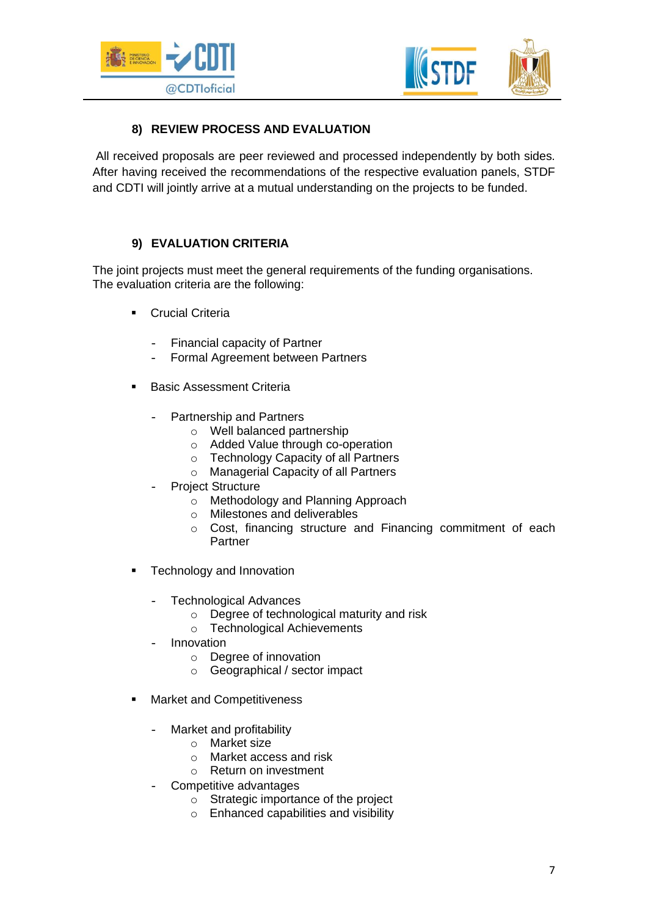



# **8) REVIEW PROCESS AND EVALUATION**

All received proposals are peer reviewed and processed independently by both sides. After having received the recommendations of the respective evaluation panels, STDF and CDTI will jointly arrive at a mutual understanding on the projects to be funded.

## **9) EVALUATION CRITERIA**

The joint projects must meet the general requirements of the funding organisations. The evaluation criteria are the following:

- **•** Crucial Criteria
	- Financial capacity of Partner
	- Formal Agreement between Partners
- Basic Assessment Criteria
	- Partnership and Partners
		- o Well balanced partnership
		- o Added Value through co-operation
		- o Technology Capacity of all Partners
		- o Managerial Capacity of all Partners
	- Project Structure
		- o Methodology and Planning Approach
		- o Milestones and deliverables
		- o Cost, financing structure and Financing commitment of each **Partner**
- **EXECOMODAGY EXECOMODAGY FRAGGIOUS** 
	- Technological Advances
		- o Degree of technological maturity and risk
		- o Technological Achievements
	- **Innovation** 
		- o Degree of innovation
		- o Geographical / sector impact
- Market and Competitiveness
	- Market and profitability
		- o Market size
		- o Market access and risk
		- o Return on investment
	- Competitive advantages
		- o Strategic importance of the project
		- o Enhanced capabilities and visibility